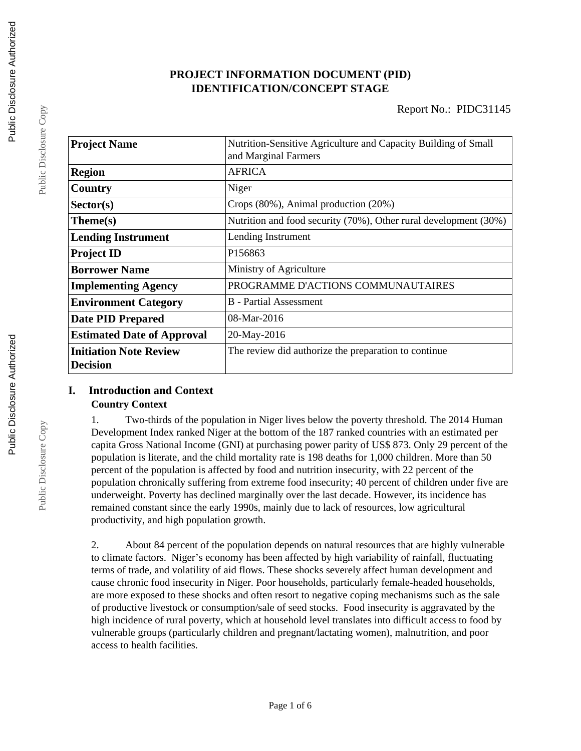## **PROJECT INFORMATION DOCUMENT (PID) IDENTIFICATION/CONCEPT STAGE**

| <b>Project Name</b>                              | Nutrition-Sensitive Agriculture and Capacity Building of Small<br>and Marginal Farmers |  |  |
|--------------------------------------------------|----------------------------------------------------------------------------------------|--|--|
| <b>Region</b>                                    | <b>AFRICA</b>                                                                          |  |  |
| Country                                          | Niger                                                                                  |  |  |
| Sector(s)                                        | Crops (80%), Animal production (20%)                                                   |  |  |
| $Thene(s)$                                       | Nutrition and food security (70%), Other rural development (30%)                       |  |  |
| <b>Lending Instrument</b>                        | Lending Instrument                                                                     |  |  |
| <b>Project ID</b>                                | P156863                                                                                |  |  |
| <b>Borrower Name</b>                             | Ministry of Agriculture                                                                |  |  |
| <b>Implementing Agency</b>                       | PROGRAMME D'ACTIONS COMMUNAUTAIRES                                                     |  |  |
| <b>Environment Category</b>                      | B - Partial Assessment                                                                 |  |  |
| <b>Date PID Prepared</b>                         | $08-Mar-2016$                                                                          |  |  |
| <b>Estimated Date of Approval</b>                | 20-May-2016                                                                            |  |  |
| <b>Initiation Note Review</b><br><b>Decision</b> | The review did authorize the preparation to continue                                   |  |  |

# **I. Introduction and Context**

**Country Context**

1. Two-thirds of the population in Niger lives below the poverty threshold. The 2014 Human Development Index ranked Niger at the bottom of the 187 ranked countries with an estimated per capita Gross National Income (GNI) at purchasing power parity of US\$ 873. Only 29 percent of the population is literate, and the child mortality rate is 198 deaths for 1,000 children. More than 50 percent of the population is affected by food and nutrition insecurity, with 22 percent of the population chronically suffering from extreme food insecurity; 40 percent of children under five are underweight. Poverty has declined marginally over the last decade. However, its incidence has remained constant since the early 1990s, mainly due to lack of resources, low agricultural productivity, and high population growth.

2. About 84 percent of the population depends on natural resources that are highly vulnerable to climate factors. Niger's economy has been affected by high variability of rainfall, fluctuating terms of trade, and volatility of aid flows. These shocks severely affect human development and cause chronic food insecurity in Niger. Poor households, particularly female-headed households, are more exposed to these shocks and often resort to negative coping mechanisms such as the sale of productive livestock or consumption/sale of seed stocks. Food insecurity is aggravated by the high incidence of rural poverty, which at household level translates into difficult access to food by vulnerable groups (particularly children and pregnant/lactating women), malnutrition, and poor access to health facilities.

Public Disclosure Copy

Public Disclosure Copy

Public Disclosure Copy

Public Disclosure Copy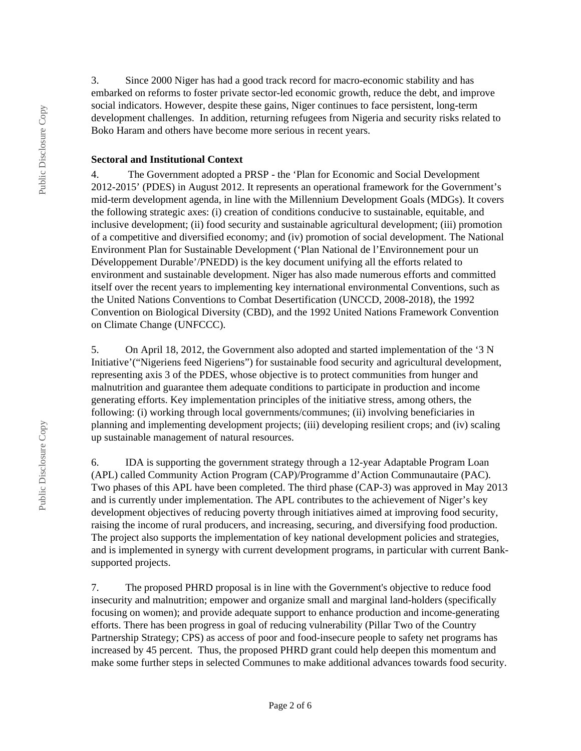3. Since 2000 Niger has had a good track record for macro-economic stability and has embarked on reforms to foster private sector-led economic growth, reduce the debt, and improve social indicators. However, despite these gains, Niger continues to face persistent, long-term development challenges. In addition, returning refugees from Nigeria and security risks related to Boko Haram and others have become more serious in recent years.

#### **Sectoral and Institutional Context**

4. The Government adopted a PRSP - the 'Plan for Economic and Social Development 2012-2015' (PDES) in August 2012. It represents an operational framework for the Government's mid-term development agenda, in line with the Millennium Development Goals (MDGs). It covers the following strategic axes: (i) creation of conditions conducive to sustainable, equitable, and inclusive development; (ii) food security and sustainable agricultural development; (iii) promotion of a competitive and diversified economy; and (iv) promotion of social development. The National Environment Plan for Sustainable Development ('Plan National de l'Environnement pour un Développement Durable'/PNEDD) is the key document unifying all the efforts related to environment and sustainable development. Niger has also made numerous efforts and committed itself over the recent years to implementing key international environmental Conventions, such as the United Nations Conventions to Combat Desertification (UNCCD, 2008-2018), the 1992 Convention on Biological Diversity (CBD), and the 1992 United Nations Framework Convention on Climate Change (UNFCCC).

5. On April 18, 2012, the Government also adopted and started implementation of the '3 N Initiative'("Nigeriens feed Nigeriens") for sustainable food security and agricultural development, representing axis 3 of the PDES, whose objective is to protect communities from hunger and malnutrition and guarantee them adequate conditions to participate in production and income generating efforts. Key implementation principles of the initiative stress, among others, the following: (i) working through local governments/communes; (ii) involving beneficiaries in planning and implementing development projects; (iii) developing resilient crops; and (iv) scaling up sustainable management of natural resources.

6. IDA is supporting the government strategy through a 12-year Adaptable Program Loan (APL) called Community Action Program (CAP)/Programme d'Action Communautaire (PAC). Two phases of this APL have been completed. The third phase (CAP-3) was approved in May 2013 and is currently under implementation. The APL contributes to the achievement of Niger's key development objectives of reducing poverty through initiatives aimed at improving food security, raising the income of rural producers, and increasing, securing, and diversifying food production. The project also supports the implementation of key national development policies and strategies, and is implemented in synergy with current development programs, in particular with current Banksupported projects.

7. The proposed PHRD proposal is in line with the Government's objective to reduce food insecurity and malnutrition; empower and organize small and marginal land-holders (specifically focusing on women); and provide adequate support to enhance production and income-generating efforts. There has been progress in goal of reducing vulnerability (Pillar Two of the Country Partnership Strategy; CPS) as access of poor and food-insecure people to safety net programs has increased by 45 percent. Thus, the proposed PHRD grant could help deepen this momentum and make some further steps in selected Communes to make additional advances towards food security.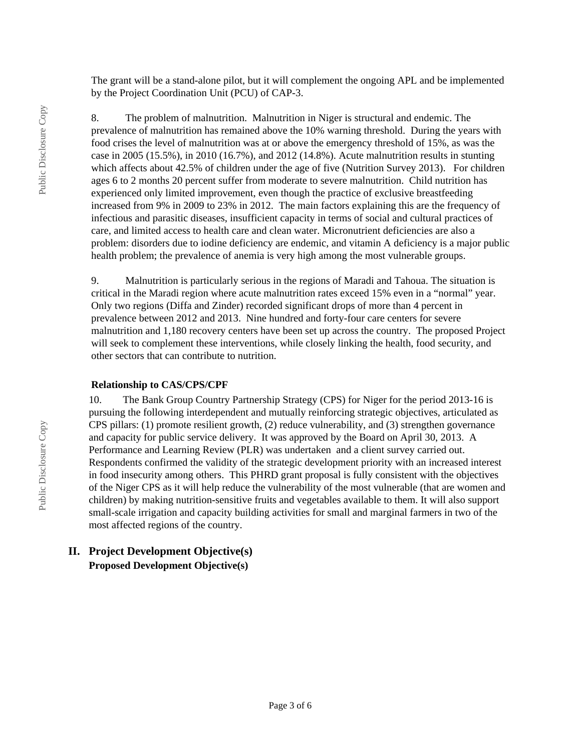The grant will be a stand-alone pilot, but it will complement the ongoing APL and be implemented by the Project Coordination Unit (PCU) of CAP-3.

8. The problem of malnutrition. Malnutrition in Niger is structural and endemic. The prevalence of malnutrition has remained above the 10% warning threshold. During the years with food crises the level of malnutrition was at or above the emergency threshold of 15%, as was the case in 2005 (15.5%), in 2010 (16.7%), and 2012 (14.8%). Acute malnutrition results in stunting which affects about 42.5% of children under the age of five (Nutrition Survey 2013). For children ages 6 to 2 months 20 percent suffer from moderate to severe malnutrition. Child nutrition has experienced only limited improvement, even though the practice of exclusive breastfeeding increased from 9% in 2009 to 23% in 2012. The main factors explaining this are the frequency of infectious and parasitic diseases, insufficient capacity in terms of social and cultural practices of care, and limited access to health care and clean water. Micronutrient deficiencies are also a problem: disorders due to iodine deficiency are endemic, and vitamin A deficiency is a major public health problem; the prevalence of anemia is very high among the most vulnerable groups.

9. Malnutrition is particularly serious in the regions of Maradi and Tahoua. The situation is critical in the Maradi region where acute malnutrition rates exceed 15% even in a "normal" year. Only two regions (Diffa and Zinder) recorded significant drops of more than 4 percent in prevalence between 2012 and 2013. Nine hundred and forty-four care centers for severe malnutrition and 1,180 recovery centers have been set up across the country. The proposed Project will seek to complement these interventions, while closely linking the health, food security, and other sectors that can contribute to nutrition.

#### **Relationship to CAS/CPS/CPF**

10. The Bank Group Country Partnership Strategy (CPS) for Niger for the period 2013-16 is pursuing the following interdependent and mutually reinforcing strategic objectives, articulated as CPS pillars: (1) promote resilient growth, (2) reduce vulnerability, and (3) strengthen governance and capacity for public service delivery. It was approved by the Board on April 30, 2013. A Performance and Learning Review (PLR) was undertaken and a client survey carried out. Respondents confirmed the validity of the strategic development priority with an increased interest in food insecurity among others. This PHRD grant proposal is fully consistent with the objectives of the Niger CPS as it will help reduce the vulnerability of the most vulnerable (that are women and children) by making nutrition-sensitive fruits and vegetables available to them. It will also support small-scale irrigation and capacity building activities for small and marginal farmers in two of the most affected regions of the country.

## **II. Project Development Objective(s) Proposed Development Objective(s)**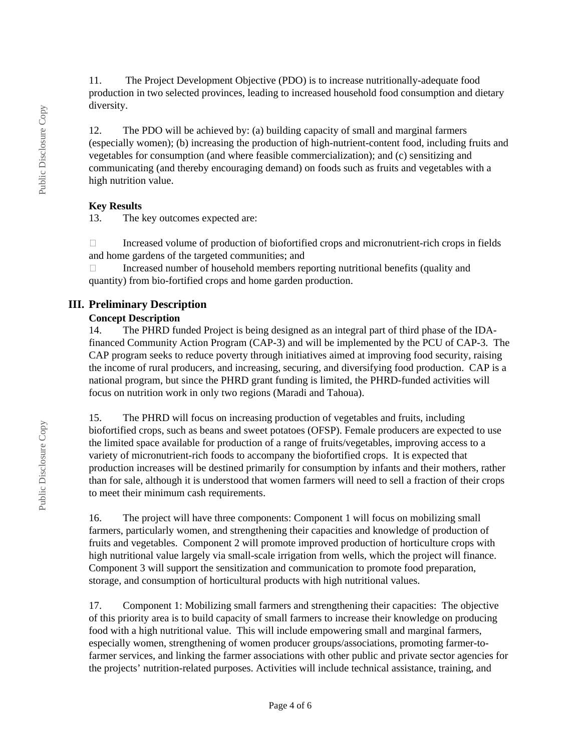11. The Project Development Objective (PDO) is to increase nutritionally-adequate food production in two selected provinces, leading to increased household food consumption and dietary diversity.

12. The PDO will be achieved by: (a) building capacity of small and marginal farmers (especially women); (b) increasing the production of high-nutrient-content food, including fruits and vegetables for consumption (and where feasible commercialization); and (c) sensitizing and communicating (and thereby encouraging demand) on foods such as fruits and vegetables with a high nutrition value.

#### **Key Results**

13. The key outcomes expected are:

 $\Box$  Increased volume of production of biofortified crops and micronutrient-rich crops in fields and home gardens of the targeted communities; and

□ Increased number of household members reporting nutritional benefits (quality and quantity) from bio-fortified crops and home garden production.

## **III. Preliminary Description**

#### **Concept Description**

14. The PHRD funded Project is being designed as an integral part of third phase of the IDAfinanced Community Action Program (CAP-3) and will be implemented by the PCU of CAP-3. The CAP program seeks to reduce poverty through initiatives aimed at improving food security, raising the income of rural producers, and increasing, securing, and diversifying food production. CAP is a national program, but since the PHRD grant funding is limited, the PHRD-funded activities will focus on nutrition work in only two regions (Maradi and Tahoua).

15. The PHRD will focus on increasing production of vegetables and fruits, including biofortified crops, such as beans and sweet potatoes (OFSP). Female producers are expected to use the limited space available for production of a range of fruits/vegetables, improving access to a variety of micronutrient-rich foods to accompany the biofortified crops. It is expected that production increases will be destined primarily for consumption by infants and their mothers, rather than for sale, although it is understood that women farmers will need to sell a fraction of their crops to meet their minimum cash requirements.

16. The project will have three components: Component 1 will focus on mobilizing small farmers, particularly women, and strengthening their capacities and knowledge of production of fruits and vegetables. Component 2 will promote improved production of horticulture crops with high nutritional value largely via small-scale irrigation from wells, which the project will finance. Component 3 will support the sensitization and communication to promote food preparation, storage, and consumption of horticultural products with high nutritional values.

17. Component 1: Mobilizing small farmers and strengthening their capacities: The objective of this priority area is to build capacity of small farmers to increase their knowledge on producing food with a high nutritional value. This will include empowering small and marginal farmers, especially women, strengthening of women producer groups/associations, promoting farmer-tofarmer services, and linking the farmer associations with other public and private sector agencies for the projects' nutrition-related purposes. Activities will include technical assistance, training, and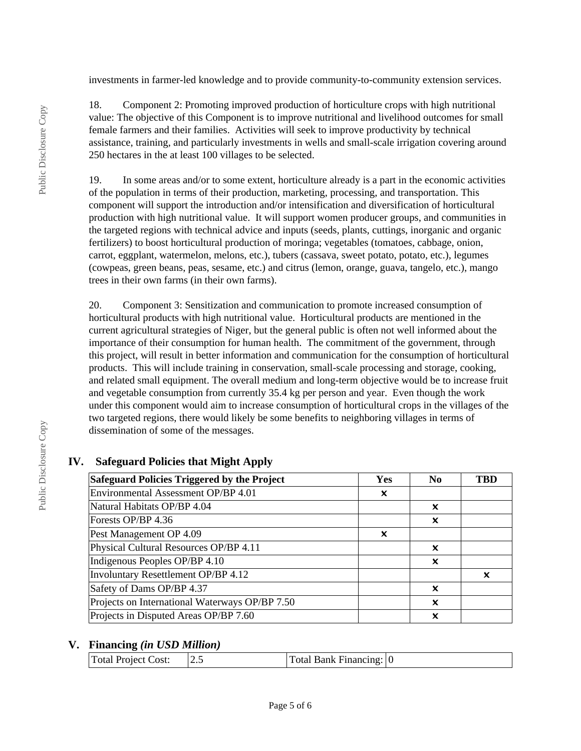investments in farmer-led knowledge and to provide community-to-community extension services.

18. Component 2: Promoting improved production of horticulture crops with high nutritional value: The objective of this Component is to improve nutritional and livelihood outcomes for small female farmers and their families. Activities will seek to improve productivity by technical assistance, training, and particularly investments in wells and small-scale irrigation covering around 250 hectares in the at least 100 villages to be selected.

19. In some areas and/or to some extent, horticulture already is a part in the economic activities of the population in terms of their production, marketing, processing, and transportation. This component will support the introduction and/or intensification and diversification of horticultural production with high nutritional value. It will support women producer groups, and communities in the targeted regions with technical advice and inputs (seeds, plants, cuttings, inorganic and organic fertilizers) to boost horticultural production of moringa; vegetables (tomatoes, cabbage, onion, carrot, eggplant, watermelon, melons, etc.), tubers (cassava, sweet potato, potato, etc.), legumes (cowpeas, green beans, peas, sesame, etc.) and citrus (lemon, orange, guava, tangelo, etc.), mango trees in their own farms (in their own farms).

20. Component 3: Sensitization and communication to promote increased consumption of horticultural products with high nutritional value. Horticultural products are mentioned in the current agricultural strategies of Niger, but the general public is often not well informed about the importance of their consumption for human health. The commitment of the government, through this project, will result in better information and communication for the consumption of horticultural products. This will include training in conservation, small-scale processing and storage, cooking, and related small equipment. The overall medium and long-term objective would be to increase fruit and vegetable consumption from currently 35.4 kg per person and year. Even though the work under this component would aim to increase consumption of horticultural crops in the villages of the two targeted regions, there would likely be some benefits to neighboring villages in terms of dissemination of some of the messages.

## **IV. Safeguard Policies that Might Apply**

| <b>Safeguard Policies Triggered by the Project</b> | Yes | N <sub>0</sub> | TBD |
|----------------------------------------------------|-----|----------------|-----|
| Environmental Assessment OP/BP 4.01                | X   |                |     |
| Natural Habitats OP/BP 4.04                        |     | X              |     |
| Forests OP/BP 4.36                                 |     | ×              |     |
| Pest Management OP 4.09                            | x   |                |     |
| Physical Cultural Resources OP/BP 4.11             |     | X              |     |
| Indigenous Peoples OP/BP 4.10                      |     | $\mathbf x$    |     |
| Involuntary Resettlement OP/BP 4.12                |     |                | x   |
| Safety of Dams OP/BP 4.37                          |     | X              |     |
| Projects on International Waterways OP/BP 7.50     |     | x              |     |
| Projects in Disputed Areas OP/BP 7.60              |     | x              |     |

## **V. Financing** *(in USD Million)*